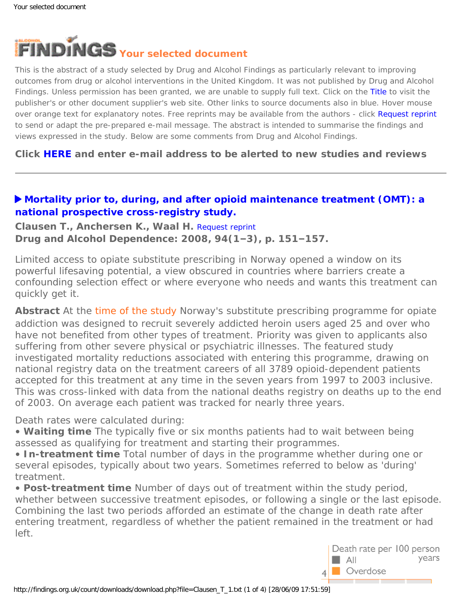<span id="page-0-0"></span>

This is the abstract of a study selected by Drug and Alcohol Findings as particularly relevant to improving outcomes from drug or alcohol interventions in the United Kingdom. It was not published by Drug and Alcohol Findings. Unless permission has been granted, we are unable to supply full text. Click on the Title to visit the publisher's or other document supplier's web site. Other links to source documents also in blue. Hover mouse over orange text for explanatory notes. Free reprints may be available from the authors - click Request reprint to send or adapt the pre-prepared e-mail message. The abstract is intended to summarise the findings and views expressed in the study. Below are some comments from Drug and Alcohol Findings.

**Click [HERE](https://findings.org.uk/index.php#signUp) and enter e-mail address to be alerted to new studies and reviews**

## **[Mortality prior to, during, and after opioid maintenance treatment \(OMT\): a](http://dx.doi.org/10.1016/j.drugalcdep.2007.11.003) [national prospective cross-registry study.](http://dx.doi.org/10.1016/j.drugalcdep.2007.11.003)**

**Clausen T., Anchersen K., Waal H.** [Request reprint](mailto:thomas.clausen@medisin.uio.no?Subject=Reprint%20request&body=Dear Dr Clausen%0A%0AOn the Drug and Alcohol Findings web site (https://findings.org.uk) I read about your article:%0AClausen T., Anchersen K., Waal H. Mortality prior to, during, and after opioid maintenance treatment (OMT): a national prospective cross-registry study. Drug and Alcohol Dependence: 2008, 94(1-3), p. 151-157.%0A%0AWould it be possible to for me to be sent a PDF reprint or the manuscript by return e-mail?%0A) **Drug and Alcohol Dependence: 2008, 94(1–3), p. 151–157.**

Limited access to opiate substitute prescribing in Norway opened a window on its powerful lifesaving potential, a view obscured in countries where barriers create a confounding selection effect or where everyone who needs and wants this treatment can quickly get it.

**Abstract** At the [time of the study](#page-0-0) Norway's substitute prescribing programme for opiate addiction was designed to recruit severely addicted heroin users aged 25 and over who have not benefited from other types of treatment. Priority was given to applicants also suffering from other severe physical or psychiatric illnesses. The featured study investigated mortality reductions associated with entering this programme, drawing on national registry data on the treatment careers of all 3789 opioid-dependent patients accepted for this treatment at any time in the seven years from 1997 to 2003 inclusive. This was cross-linked with data from the national deaths registry on deaths up to the end of 2003. On average each patient was tracked for nearly three years.

Death rates were calculated during:

• **Waiting time** The typically five or six months patients had to wait between being assessed as qualifying for treatment and starting their programmes.

• **In-treatment time** Total number of days in the programme whether during one or several episodes, typically about two years. Sometimes referred to below as 'during' treatment.

• **Post-treatment time** Number of days out of treatment within the study period, whether between successive treatment episodes, or following a single or the last episode. Combining the last two periods afforded an estimate of the change in death rate after entering treatment, regardless of whether the patient remained in the treatment or had left.

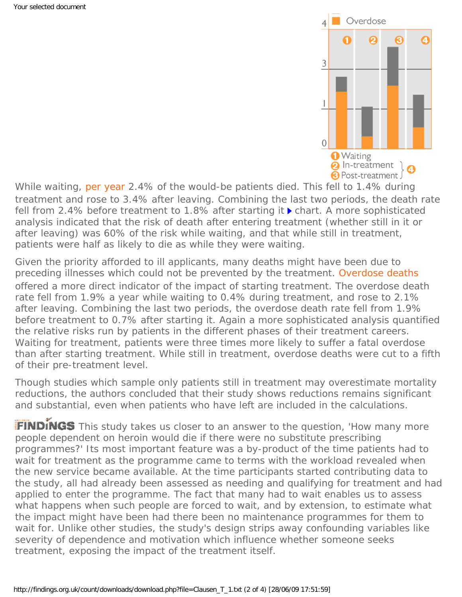

While waiting, [per year](#page-0-0) 2.4% of the would-be patients died. This fell to 1.4% during treatment and rose to 3.4% after leaving. Combining the last two periods, the death rate fell from 2.4% before treatment to 1.8% after starting it  $\triangleright$  chart. A more sophisticated analysis indicated that the risk of death after entering treatment (whether still in it or after leaving) was 60% of the risk while waiting, and that while still in treatment, patients were half as likely to die as while they were waiting.

Given the priority afforded to ill applicants, many deaths might have been due to preceding illnesses which could not be prevented by the treatment. [Overdose deaths](#page-0-0)  offered a more direct indicator of the impact of starting treatment. The overdose death rate fell from 1.9% a year while waiting to 0.4% during treatment, and rose to 2.1% after leaving. Combining the last two periods, the overdose death rate fell from 1.9% before treatment to 0.7% after starting it. Again a more sophisticated analysis quantified the relative risks run by patients in the different phases of their treatment careers. Waiting for treatment, patients were three times more likely to suffer a fatal overdose than after starting treatment. While still in treatment, overdose deaths were cut to a fifth of their pre-treatment level.

Though studies which sample only patients still in treatment may overestimate mortality reductions, the authors concluded that their study shows reductions remains significant and substantial, even when patients who have left are included in the calculations.

FINDINGS This study takes us closer to an answer to the question, 'How many more people dependent on heroin would die if there were no substitute prescribing programmes?' Its most important feature was a by-product of the time patients had to wait for treatment as the programme came to terms with the workload revealed when the new service became available. At the time participants started contributing data to the study, all had already been assessed as needing and qualifying for treatment and had applied to enter the programme. The fact that many had to wait enables us to assess what happens when such people are forced to wait, and by extension, to estimate what the impact might have been had there been no maintenance programmes for them to wait for. Unlike other studies, the study's design strips away confounding variables like severity of dependence and motivation which influence whether someone seeks treatment, exposing the impact of the treatment itself.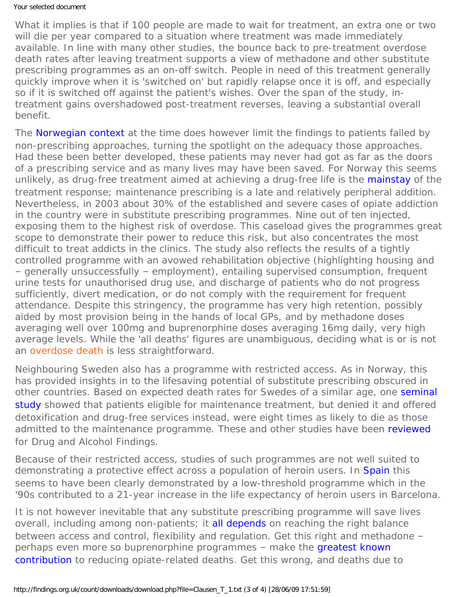What it implies is that if 100 people are made to wait for treatment, an extra one or two will die per year compared to a situation where treatment was made immediately available. In line with many other studies, the bounce back to pre-treatment overdose death rates after leaving treatment supports a view of methadone and other substitute prescribing programmes as an on-off switch. People in need of this treatment generally quickly improve when it is 'switched on' but rapidly relapse once it is off, and especially so if it is switched off against the patient's wishes. Over the span of the study, intreatment gains overshadowed post-treatment reverses, leaving a substantial overall benefit.

The [Norwegian context](http://dx.doi.org/10.1159/000097935) at the time does however limit the findings to patients failed by non-prescribing approaches, turning the spotlight on the adequacy those approaches. Had these been better developed, these patients may never had got as far as the doors of a prescribing service and as many lives may have been saved. For Norway this seems unlikely, as drug-free treatment aimed at achieving a drug-free life is the [mainstay](http://www.emcdda.europa.eu/publications/country-overviews/no) of the treatment response; maintenance prescribing is a late and relatively peripheral addition. Nevertheless, in 2003 about 30% of the established and severe cases of opiate addiction in the country were in substitute prescribing programmes. Nine out of ten injected, exposing them to the highest risk of overdose. This caseload gives the programmes great scope to demonstrate their power to reduce this risk, but also concentrates the most difficult to treat addicts in the clinics. The study also reflects the results of a tightly controlled programme with an avowed rehabilitation objective (highlighting housing and – generally unsuccessfully – employment), entailing supervised consumption, frequent urine tests for unauthorised drug use, and discharge of patients who do not progress sufficiently, divert medication, or do not comply with the requirement for frequent attendance. Despite this stringency, the programme has very high retention, possibly aided by most provision being in the hands of local GPs, and by methadone doses averaging well over 100mg and buprenorphine doses averaging 16mg daily, very high average levels. While the 'all deaths' figures are unambiguous, deciding what is or is not an [overdose death](#page-0-0) is less straightforward.

Neighbouring Sweden also has a programme with restricted access. As in Norway, this has provided insights in to the lifesaving potential of substitute prescribing obscured in other countries. Based on expected death rates for Swedes of a similar age, one seminal [study](http://www.oatc.ca/research/Mortality%20in%20heroin%20addiction.pdf) showed that patients eligible for maintenance treatment, but denied it and offered detoxification and drug-free services instead, were eight times as likely to die as those admitted to the maintenance programme. These and other studies have been [reviewed](https://findings.org.uk/count/downloads/download.php?file=Best_D_17.pdf) for Drug and Alcohol Findings.

Because of their restricted access, studies of such programmes are not well suited to demonstrating a protective effect across a population of heroin users. In [Spain](https://findings.org.uk/count/downloads/download.php?file=nugg_14_3.pdf) this seems to have been clearly demonstrated by a low-threshold programme which in the '90s contributed to a 21-year increase in the life expectancy of heroin users in Barcelona.

It is not however inevitable that any substitute prescribing programme will save lives overall, including among non-patients; it [all depends](https://findings.org.uk/count/downloads/download.php?file=Best_D_18.pdf) on reaching the right balance between access and control, flexibility and regulation. Get this right and methadone – perhaps even more so buprenorphine programmes - make the [greatest known](http://dx.doi.org/10.3109/10826089609045806) [contribution](http://dx.doi.org/10.3109/10826089609045806) to reducing opiate-related deaths. Get this wrong, and deaths due to